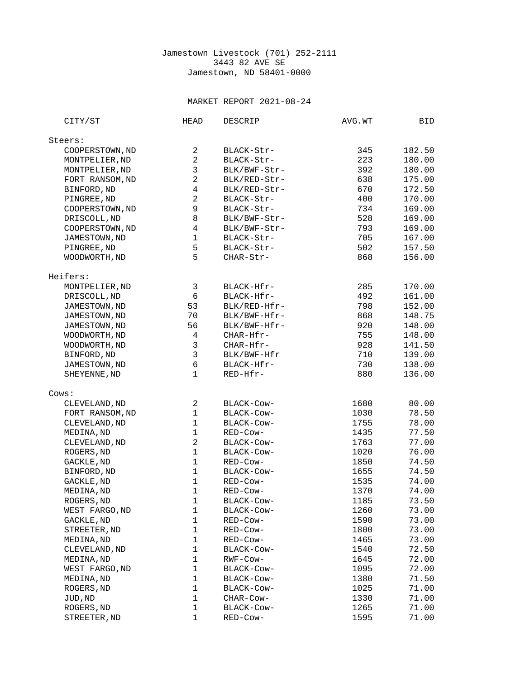## Jamestown Livestock (701) 252-2111 3443 82 AVE SE Jamestown, ND 58401-0000

## MARKET REPORT 2021-08-24

| CITY/ST         | <b>HEAD</b>               | <b>DESCRIP</b> | AVG.WT | BID    |
|-----------------|---------------------------|----------------|--------|--------|
| Steers:         |                           |                |        |        |
| COOPERSTOWN, ND | $\overline{c}$            | BLACK-Str-     | 345    | 182.50 |
| MONTPELIER, ND  | $\overline{c}$            | BLACK-Str-     | 223    | 180.00 |
| MONTPELIER, ND  | $\ensuremath{\mathsf{3}}$ | BLK/BWF-Str-   | 392    | 180.00 |
| FORT RANSOM, ND | $\overline{c}$            | BLK/RED-Str-   | 638    | 175.00 |
| BINFORD, ND     | 4                         | BLK/RED-Str-   | 670    | 172.50 |
| PINGREE, ND     | $\overline{c}$            | BLACK-Str-     | 400    | 170.00 |
| COOPERSTOWN, ND | $\mathsf g$               | BLACK-Str-     | 734    | 169.00 |
| DRISCOLL, ND    | 8                         | BLK/BWF-Str-   | 528    | 169.00 |
| COOPERSTOWN, ND | 4                         | BLK/BWF-Str-   | 793    | 169.00 |
| JAMESTOWN, ND   | $\mathbf 1$               | BLACK-Str-     | 705    | 167.00 |
| PINGREE, ND     | 5                         | BLACK-Str-     | 502    | 157.50 |
| WOODWORTH, ND   | 5                         | CHAR-Str-      | 868    | 156.00 |
| Heifers:        |                           |                |        |        |
| MONTPELIER, ND  | 3                         | BLACK-Hfr-     | 285    | 170.00 |
| DRISCOLL, ND    | $6\phantom{1}6$           | BLACK-Hfr-     | 492    | 161.00 |
| JAMESTOWN, ND   | 53                        | BLK/RED-Hfr-   | 798    | 152.00 |
| JAMESTOWN, ND   | 70                        | BLK/BWF-Hfr-   | 868    | 148.75 |
| JAMESTOWN, ND   | 56                        | BLK/BWF-Hfr-   | 920    | 148.00 |
| WOODWORTH, ND   | 4                         | CHAR-Hfr-      | 755    | 148.00 |
| WOODWORTH, ND   | 3                         | CHAR-Hfr-      | 928    | 141.50 |
| BINFORD, ND     | 3                         | BLK/BWF-Hfr    | 710    | 139.00 |
| JAMESTOWN, ND   | 6                         | BLACK-Hfr-     | 730    | 138.00 |
| SHEYENNE, ND    | $\mathbf{1}$              | RED-Hfr-       | 880    | 136.00 |
| Cows:           |                           |                |        |        |
| CLEVELAND, ND   | $\overline{c}$            | BLACK-COW-     | 1680   | 80.00  |
| FORT RANSOM, ND | $\mathbf{1}$              | BLACK-COW-     | 1030   | 78.50  |
| CLEVELAND, ND   | $\mathbf{1}$              | BLACK-Cow-     | 1755   | 78.00  |
| MEDINA, ND      | $\mathbf{1}$              | RED-Cow-       | 1435   | 77.50  |
| CLEVELAND, ND   | $\boldsymbol{2}$          | BLACK-Cow-     | 1763   | 77.00  |
| ROGERS, ND      | $\mathbf{1}$              | BLACK-COW-     | 1020   | 76.00  |
| GACKLE, ND      | $\mathbf{1}$              | RED-Cow-       | 1850   | 74.50  |
| BINFORD, ND     | $\mathbf{1}$              | BLACK-Cow-     | 1655   | 74.50  |
| GACKLE, ND      | $\mathbf{1}$              | RED-Cow-       | 1535   | 74.00  |
| MEDINA, ND      | $\mathbf{1}$              | RED-Cow-       | 1370   | 74.00  |
| ROGERS, ND      | $\mathbf 1$               | BLACK-Cow-     | 1185   | 73.50  |
| WEST FARGO, ND  | 1                         | BLACK-COW-     | 1260   | 73.00  |
| GACKLE, ND      | 1                         | RED-Cow-       | 1590   | 73.00  |
| STREETER, ND    | $\mathbf{1}$              | RED-COW-       | 1800   | 73.00  |
| MEDINA, ND      | 1                         | RED-Cow-       | 1465   | 73.00  |
| CLEVELAND, ND   | $\mathbf{1}$              | BLACK-Cow-     | 1540   | 72.50  |
| MEDINA, ND      | $\mathbf{1}$              | RWF-Cow-       | 1645   | 72.00  |
| WEST FARGO, ND  | $\mathbf{1}$              | BLACK-Cow-     | 1095   | 72.00  |
| MEDINA, ND      | $\mathbf{1}$              | BLACK-Cow-     | 1380   | 71.50  |
| ROGERS, ND      | 1                         | BLACK-COW-     | 1025   | 71.00  |
| JUD, ND         | $\mathbf{1}$              | CHAR-Cow-      | 1330   | 71.00  |
| ROGERS, ND      | 1                         | BLACK-Cow-     | 1265   | 71.00  |
| STREETER, ND    | 1                         | RED-Cow-       | 1595   | 71.00  |